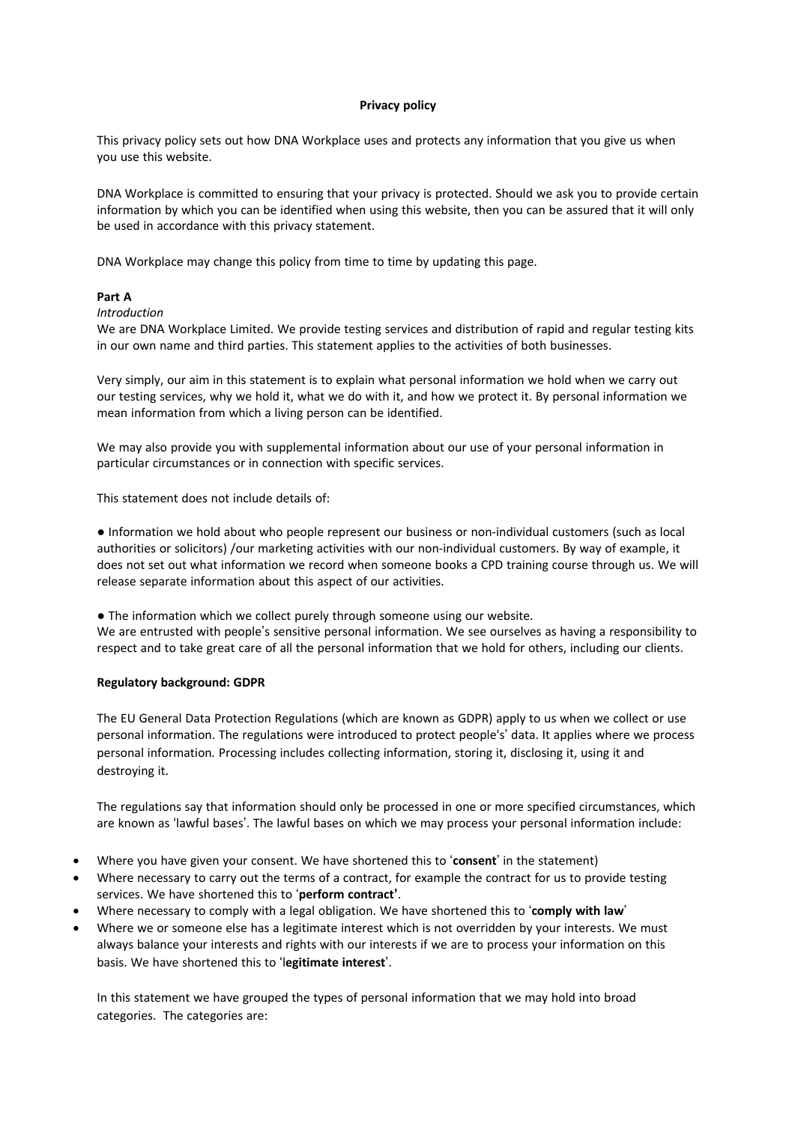### **Privacy policy**

This privacy policy sets out how DNA Workplace uses and protects any information that you give us when you use this website.

DNA Workplace is committed to ensuring that your privacy is protected. Should we ask you to provide certain information by which you can be identified when using this website, then you can be assured that it will only be used in accordance with this privacy statement.

DNA Workplace may change this policy from time to time by updating this page.

### **Part A**

### *Introduction*

We are DNA Workplace Limited. We provide testing services and distribution of rapid and regular testing kits in our own name and third parties. This statement applies to the activities of both businesses.

Very simply, our aim in this statement is to explain what personal information we hold when we carry out our testing services, why we hold it, what we do with it, and how we protect it. By personal information we mean information from which a living person can be identified.

We may also provide you with supplemental information about our use of your personal information in particular circumstances or in connection with specific services.

This statement does not include details of:

● Information we hold about who people represent our business or non-individual customers (such as local authorities or solicitors) /our marketing activities with our non-individual customers. By way of example, it does not set out what information we record when someone books a CPD training course through us. We will release separate information about this aspect of our activities.

● The information which we collect purely through someone using our website. We are entrusted with people's sensitive personal information. We see ourselves as having a responsibility to respect and to take great care of all the personal information that we hold for others, including our clients.

## **Regulatory background: GDPR**

The EU General Data Protection Regulations (which are known as GDPR) apply to us when we collect or use personal information. The regulations were introduced to protect people's' data. It applies where we process personal information*.* Processing includes collecting information, storing it, disclosing it, using it and destroying it.

The regulations say that information should only be processed in one or more specified circumstances, which are known as 'lawful bases'. The lawful bases on which we may process your personal information include:

- Where you have given your consent. We have shortened this to '**consent**' in the statement)
- Where necessary to carry out the terms of a contract, for example the contract for us to provide testing services. We have shortened this to '**perform contract'**.
- Where necessary to comply with a legal obligation. We have shortened this to '**comply with law**'
- Where we or someone else has a legitimate interest which is not overridden by your interests. We must always balance your interests and rights with our interests if we are to process your information on this basis. We have shortened this to 'l**egitimate interest**'.

In this statement we have grouped the types of personal information that we may hold into broad categories. The categories are: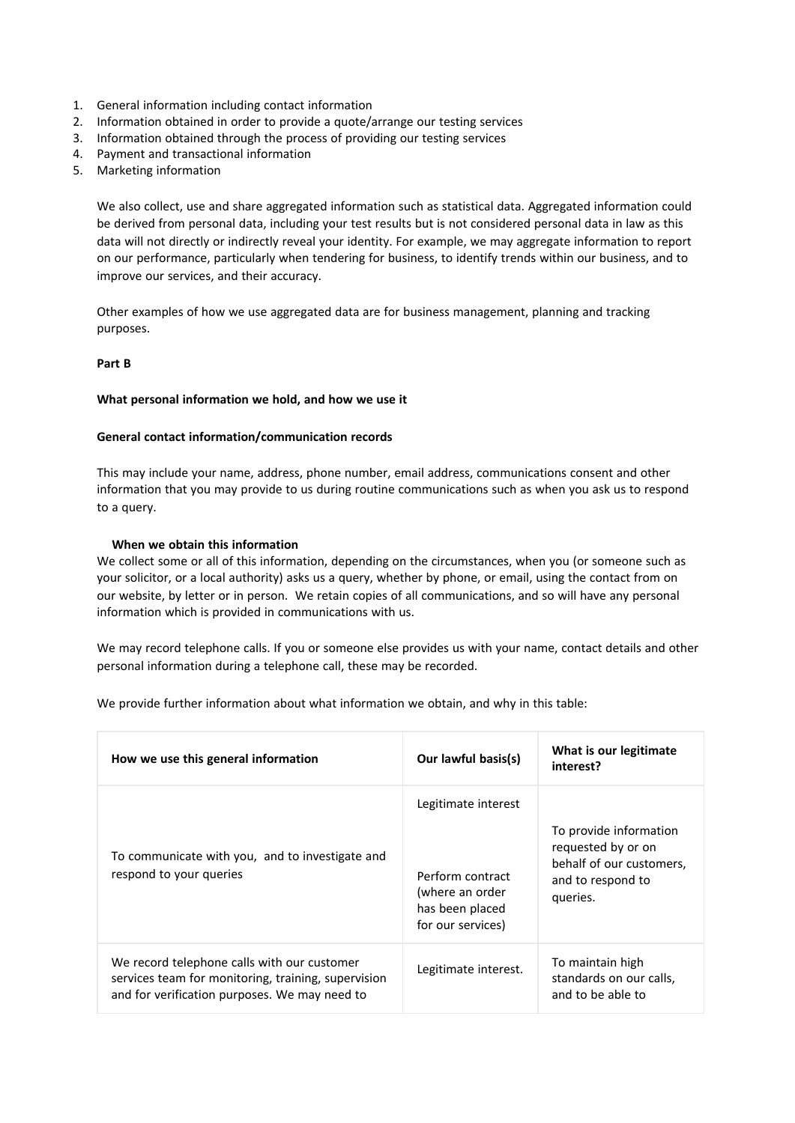- 1. General information including contact information
- 2. Information obtained in order to provide a quote/arrange our testing services
- 3. Information obtained through the process of providing our testing services
- 4. Payment and transactional information
- 5. Marketing information

We also collect, use and share aggregated information such as statistical data. Aggregated information could be derived from personal data, including your test results but is not considered personal data in law as this data will not directly or indirectly reveal your identity. For example, we may aggregate information to report on our performance, particularly when tendering for business, to identify trends within our business, and to improve our services, and their accuracy.

Other examples of how we use aggregated data are for business management, planning and tracking purposes.

## **Part B**

#### **What personal information we hold, and how we use it**

### **General contact information/communication records**

This may include your name, address, phone number, email address, communications consent and other information that you may provide to us during routine communications such as when you ask us to respond to a query.

### **When we obtain this information**

We collect some or all of this information, depending on the circumstances, when you (or someone such as your solicitor, or a local authority) asks us a query, whether by phone, or email, using the contact from on our website, by letter or in person. We retain copies of all communications, and so will have any personal information which is provided in communications with us.

We may record telephone calls. If you or someone else provides us with your name, contact details and other personal information during a telephone call, these may be recorded.

We provide further information about what information we obtain, and why in this table:

| How we use this general information                                                                                                                 | Our lawful basis(s)                                                                                | What is our legitimate<br>interest?                                                                       |
|-----------------------------------------------------------------------------------------------------------------------------------------------------|----------------------------------------------------------------------------------------------------|-----------------------------------------------------------------------------------------------------------|
| To communicate with you, and to investigate and<br>respond to your queries                                                                          | Legitimate interest<br>Perform contract<br>(where an order<br>has been placed<br>for our services) | To provide information<br>requested by or on<br>behalf of our customers.<br>and to respond to<br>queries. |
| We record telephone calls with our customer<br>services team for monitoring, training, supervision<br>and for verification purposes. We may need to | Legitimate interest.                                                                               | To maintain high<br>standards on our calls,<br>and to be able to                                          |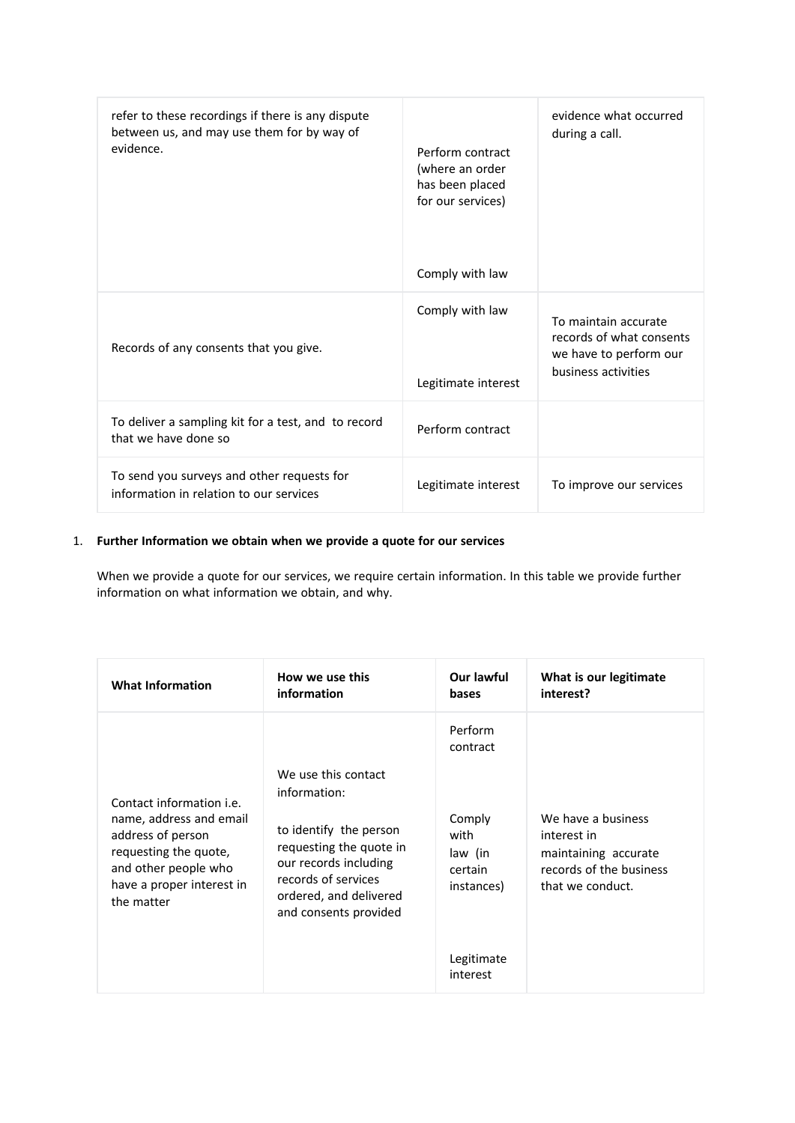| refer to these recordings if there is any dispute<br>between us, and may use them for by way of<br>evidence. | Perform contract<br>(where an order<br>has been placed<br>for our services)<br>Comply with law | evidence what occurred<br>during a call.                                                          |
|--------------------------------------------------------------------------------------------------------------|------------------------------------------------------------------------------------------------|---------------------------------------------------------------------------------------------------|
| Records of any consents that you give.                                                                       | Comply with law<br>Legitimate interest                                                         | To maintain accurate<br>records of what consents<br>we have to perform our<br>business activities |
| To deliver a sampling kit for a test, and to record<br>that we have done so                                  | Perform contract                                                                               |                                                                                                   |
| To send you surveys and other requests for<br>information in relation to our services                        | Legitimate interest                                                                            | To improve our services                                                                           |

# 1. **Further Information we obtain when we provide a quote for our services**

When we provide a quote for our services, we require certain information. In this table we provide further information on what information we obtain, and why.

| <b>What Information</b>                                                                                                                                                     | How we use this                                                                                                                                                                             | Our lawful                                                                                          | What is our legitimate                                                                                   |
|-----------------------------------------------------------------------------------------------------------------------------------------------------------------------------|---------------------------------------------------------------------------------------------------------------------------------------------------------------------------------------------|-----------------------------------------------------------------------------------------------------|----------------------------------------------------------------------------------------------------------|
|                                                                                                                                                                             | information                                                                                                                                                                                 | bases                                                                                               | interest?                                                                                                |
| Contact information <i>i.e.</i><br>name, address and email<br>address of person<br>requesting the quote,<br>and other people who<br>have a proper interest in<br>the matter | We use this contact<br>information:<br>to identify the person<br>requesting the quote in<br>our records including<br>records of services<br>ordered, and delivered<br>and consents provided | Perform<br>contract<br>Comply<br>with<br>law (in<br>certain<br>instances)<br>Legitimate<br>interest | We have a business<br>interest in<br>maintaining accurate<br>records of the business<br>that we conduct. |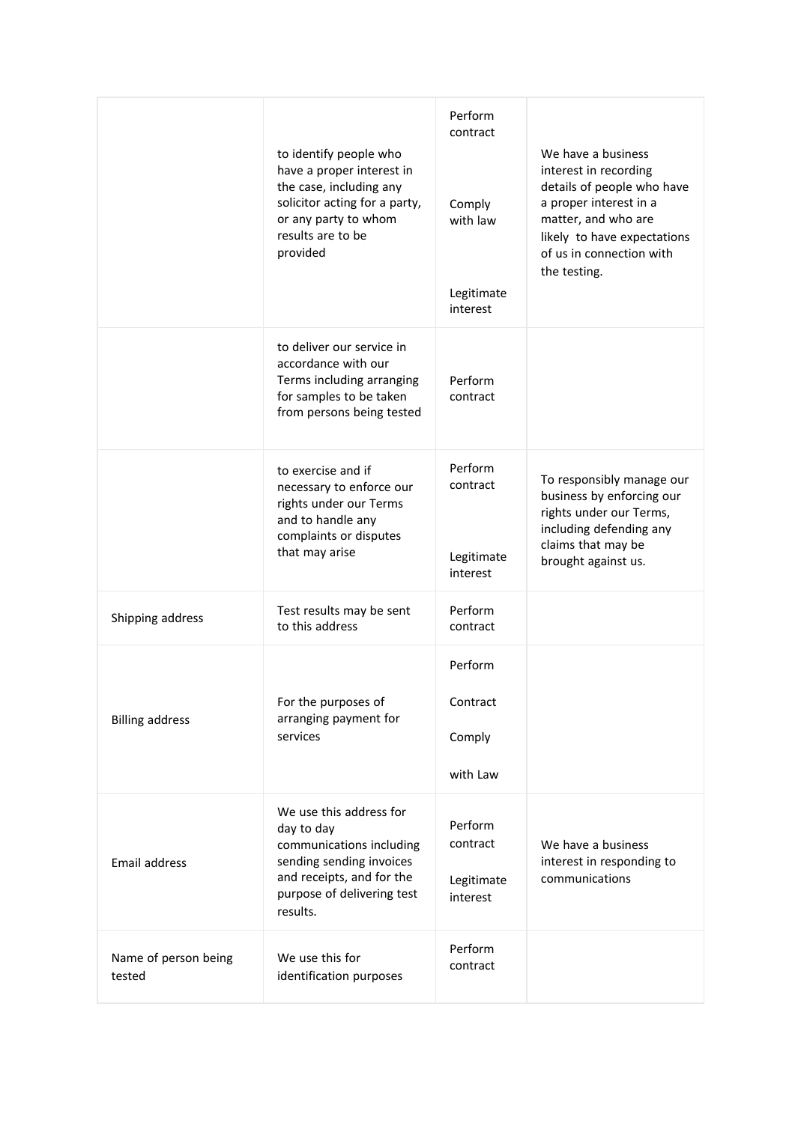|                                | to identify people who<br>have a proper interest in<br>the case, including any<br>solicitor acting for a party,<br>or any party to whom<br>results are to be<br>provided | Perform<br>contract<br>Comply<br>with law<br>Legitimate<br>interest | We have a business<br>interest in recording<br>details of people who have<br>a proper interest in a<br>matter, and who are<br>likely to have expectations<br>of us in connection with<br>the testing. |
|--------------------------------|--------------------------------------------------------------------------------------------------------------------------------------------------------------------------|---------------------------------------------------------------------|-------------------------------------------------------------------------------------------------------------------------------------------------------------------------------------------------------|
|                                | to deliver our service in<br>accordance with our<br>Terms including arranging<br>for samples to be taken<br>from persons being tested                                    | Perform<br>contract                                                 |                                                                                                                                                                                                       |
|                                | to exercise and if<br>necessary to enforce our<br>rights under our Terms<br>and to handle any<br>complaints or disputes<br>that may arise                                | Perform<br>contract<br>Legitimate<br>interest                       | To responsibly manage our<br>business by enforcing our<br>rights under our Terms,<br>including defending any<br>claims that may be<br>brought against us.                                             |
| Shipping address               | Test results may be sent<br>to this address                                                                                                                              | Perform<br>contract                                                 |                                                                                                                                                                                                       |
| <b>Billing address</b>         | For the purposes of<br>arranging payment for<br>services                                                                                                                 | Perform<br>Contract<br>Comply<br>with Law                           |                                                                                                                                                                                                       |
| Email address                  | We use this address for<br>day to day<br>communications including<br>sending sending invoices<br>and receipts, and for the<br>purpose of delivering test<br>results.     | Perform<br>contract<br>Legitimate<br>interest                       | We have a business<br>interest in responding to<br>communications                                                                                                                                     |
| Name of person being<br>tested | We use this for<br>identification purposes                                                                                                                               | Perform<br>contract                                                 |                                                                                                                                                                                                       |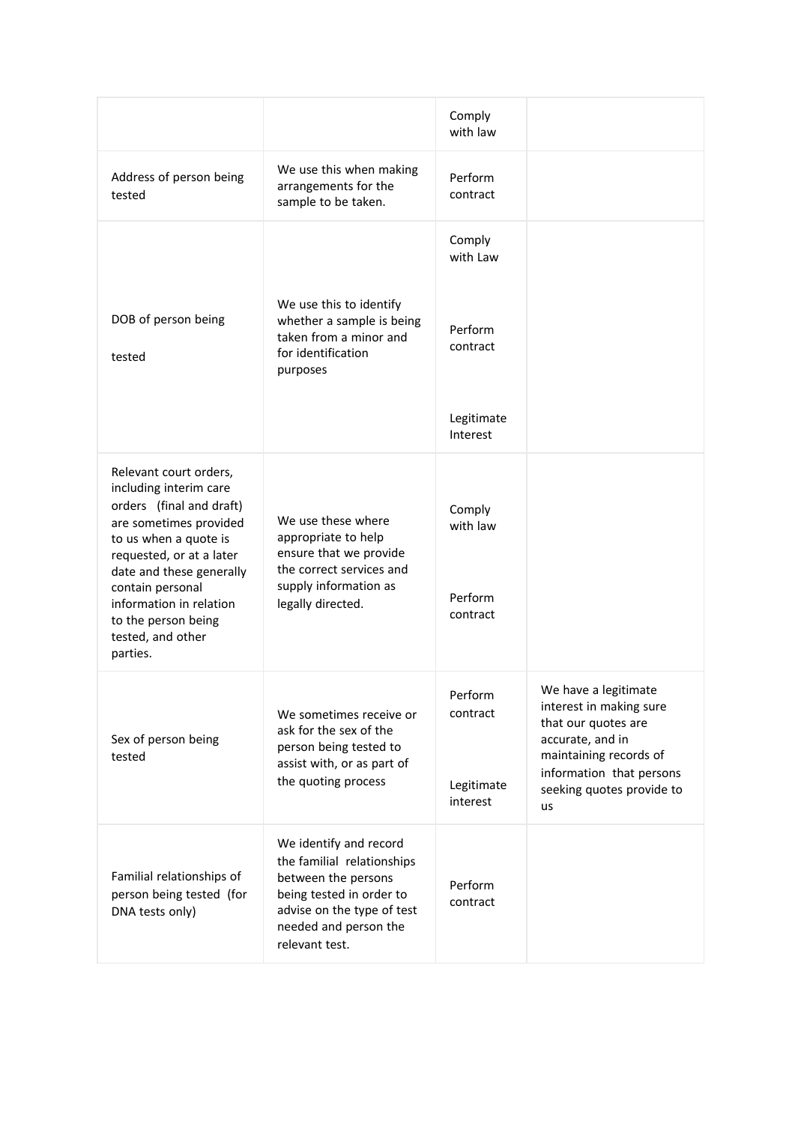|                                                                                                                                                                                                                                        |                                                                                                                                                                                  | Comply<br>with law            |                                                                                                                      |
|----------------------------------------------------------------------------------------------------------------------------------------------------------------------------------------------------------------------------------------|----------------------------------------------------------------------------------------------------------------------------------------------------------------------------------|-------------------------------|----------------------------------------------------------------------------------------------------------------------|
| Address of person being<br>tested                                                                                                                                                                                                      | We use this when making<br>arrangements for the<br>sample to be taken.                                                                                                           | Perform<br>contract           |                                                                                                                      |
|                                                                                                                                                                                                                                        |                                                                                                                                                                                  | Comply<br>with Law            |                                                                                                                      |
| DOB of person being<br>tested                                                                                                                                                                                                          | We use this to identify<br>whether a sample is being<br>taken from a minor and<br>for identification<br>purposes                                                                 | Perform<br>contract           |                                                                                                                      |
|                                                                                                                                                                                                                                        |                                                                                                                                                                                  | Legitimate<br>Interest        |                                                                                                                      |
| Relevant court orders,<br>including interim care<br>orders (final and draft)<br>are sometimes provided<br>to us when a quote is<br>requested, or at a later<br>date and these generally<br>contain personal<br>information in relation | We use these where<br>appropriate to help<br>ensure that we provide<br>the correct services and<br>supply information as<br>legally directed.                                    | Comply<br>with law<br>Perform |                                                                                                                      |
| to the person being<br>tested, and other<br>parties.                                                                                                                                                                                   |                                                                                                                                                                                  | contract                      |                                                                                                                      |
| Sex of person being<br>tested                                                                                                                                                                                                          | We sometimes receive or<br>ask for the sex of the<br>person being tested to<br>assist with, or as part of                                                                        | Perform<br>contract           | We have a legitimate<br>interest in making sure<br>that our quotes are<br>accurate, and in<br>maintaining records of |
|                                                                                                                                                                                                                                        | the quoting process                                                                                                                                                              | Legitimate<br>interest        | information that persons<br>seeking quotes provide to<br>us                                                          |
| Familial relationships of<br>person being tested (for<br>DNA tests only)                                                                                                                                                               | We identify and record<br>the familial relationships<br>between the persons<br>being tested in order to<br>advise on the type of test<br>needed and person the<br>relevant test. | Perform<br>contract           |                                                                                                                      |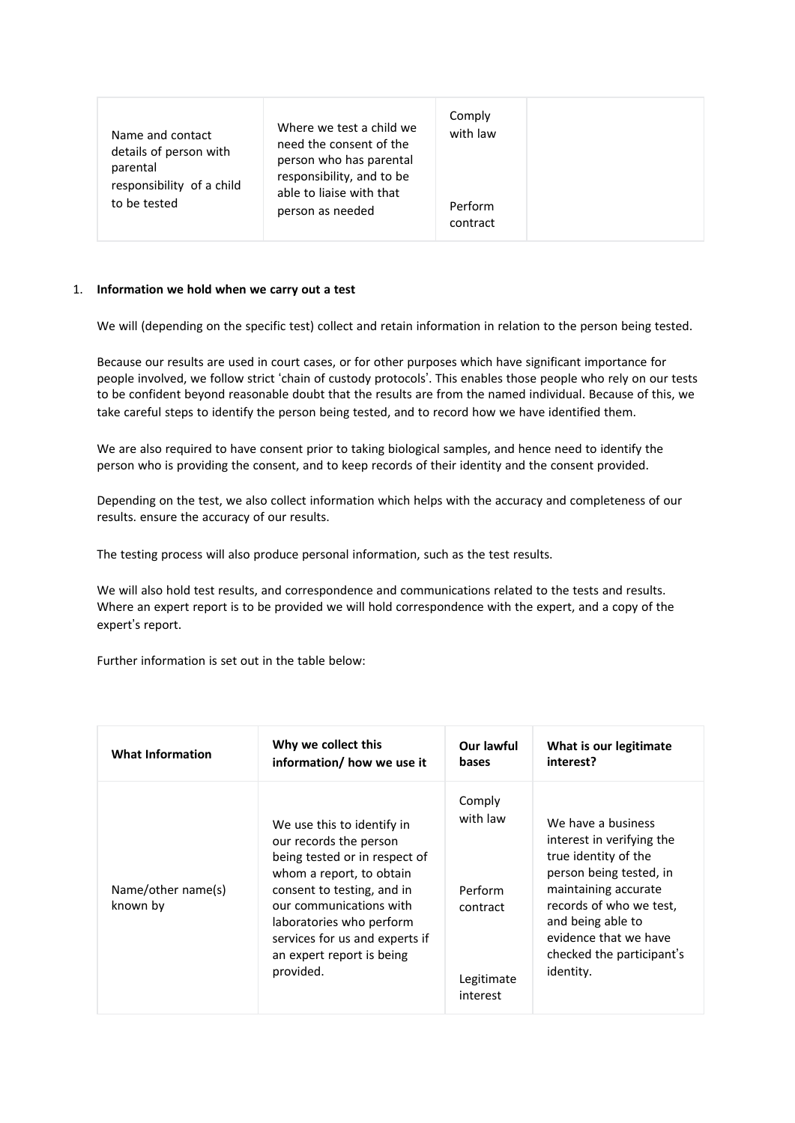| Where we test a child we<br>Name and contact<br>need the consent of the<br>details of person with<br>person who has parental<br>parental<br>responsibility, and to be<br>responsibility of a child<br>able to liaise with that<br>to be tested<br>person as needed | Comply<br>with law<br>Perform<br>contract |
|--------------------------------------------------------------------------------------------------------------------------------------------------------------------------------------------------------------------------------------------------------------------|-------------------------------------------|
|--------------------------------------------------------------------------------------------------------------------------------------------------------------------------------------------------------------------------------------------------------------------|-------------------------------------------|

## 1. **Information we hold when we carry out a test**

We will (depending on the specific test) collect and retain information in relation to the person being tested.

Because our results are used in court cases, or for other purposes which have significant importance for people involved, we follow strict 'chain of custody protocols'. This enables those people who rely on our tests to be confident beyond reasonable doubt that the results are from the named individual. Because of this, we take careful steps to identify the person being tested, and to record how we have identified them.

We are also required to have consent prior to taking biological samples, and hence need to identify the person who is providing the consent, and to keep records of their identity and the consent provided.

Depending on the test, we also collect information which helps with the accuracy and completeness of our results. ensure the accuracy of our results.

The testing process will also produce personal information, such as the test results.

We will also hold test results, and correspondence and communications related to the tests and results. Where an expert report is to be provided we will hold correspondence with the expert, and a copy of the expert's report.

Further information is set out in the table below:

| <b>What Information</b>        | Why we collect this                                                                                                                                                                                                                                                                | Our lawful                                                          | What is our legitimate                                                                                                                                                                                                                        |
|--------------------------------|------------------------------------------------------------------------------------------------------------------------------------------------------------------------------------------------------------------------------------------------------------------------------------|---------------------------------------------------------------------|-----------------------------------------------------------------------------------------------------------------------------------------------------------------------------------------------------------------------------------------------|
|                                | information/ how we use it                                                                                                                                                                                                                                                         | bases                                                               | interest?                                                                                                                                                                                                                                     |
| Name/other name(s)<br>known by | We use this to identify in<br>our records the person<br>being tested or in respect of<br>whom a report, to obtain<br>consent to testing, and in<br>our communications with<br>laboratories who perform<br>services for us and experts if<br>an expert report is being<br>provided. | Comply<br>with law<br>Perform<br>contract<br>Legitimate<br>interest | We have a business<br>interest in verifying the<br>true identity of the<br>person being tested, in<br>maintaining accurate<br>records of who we test,<br>and being able to<br>evidence that we have<br>checked the participant's<br>identity. |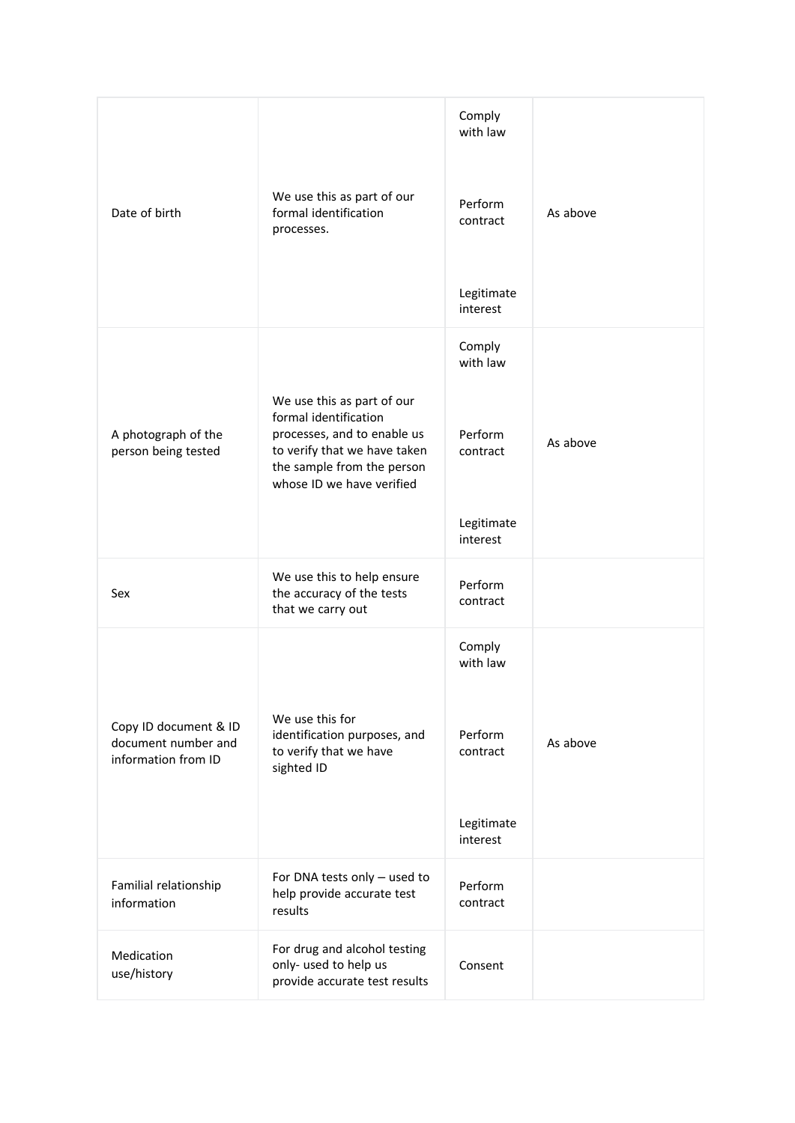| Date of birth                                                       | We use this as part of our<br>formal identification<br>processes.                                                                                                             | Comply<br>with law<br>Perform<br>contract<br>Legitimate<br>interest | As above |
|---------------------------------------------------------------------|-------------------------------------------------------------------------------------------------------------------------------------------------------------------------------|---------------------------------------------------------------------|----------|
| A photograph of the<br>person being tested                          | We use this as part of our<br>formal identification<br>processes, and to enable us<br>to verify that we have taken<br>the sample from the person<br>whose ID we have verified | Comply<br>with law<br>Perform<br>contract<br>Legitimate<br>interest | As above |
| Sex                                                                 | We use this to help ensure<br>the accuracy of the tests<br>that we carry out                                                                                                  | Perform<br>contract                                                 |          |
| Copy ID document & ID<br>document number and<br>information from ID | We use this for<br>identification purposes, and<br>to verify that we have<br>sighted ID                                                                                       | Comply<br>with law<br>Perform<br>contract<br>Legitimate<br>interest | As above |
| Familial relationship<br>information                                | For DNA tests only - used to<br>help provide accurate test<br>results                                                                                                         | Perform<br>contract                                                 |          |
| Medication<br>use/history                                           | For drug and alcohol testing<br>only- used to help us<br>provide accurate test results                                                                                        | Consent                                                             |          |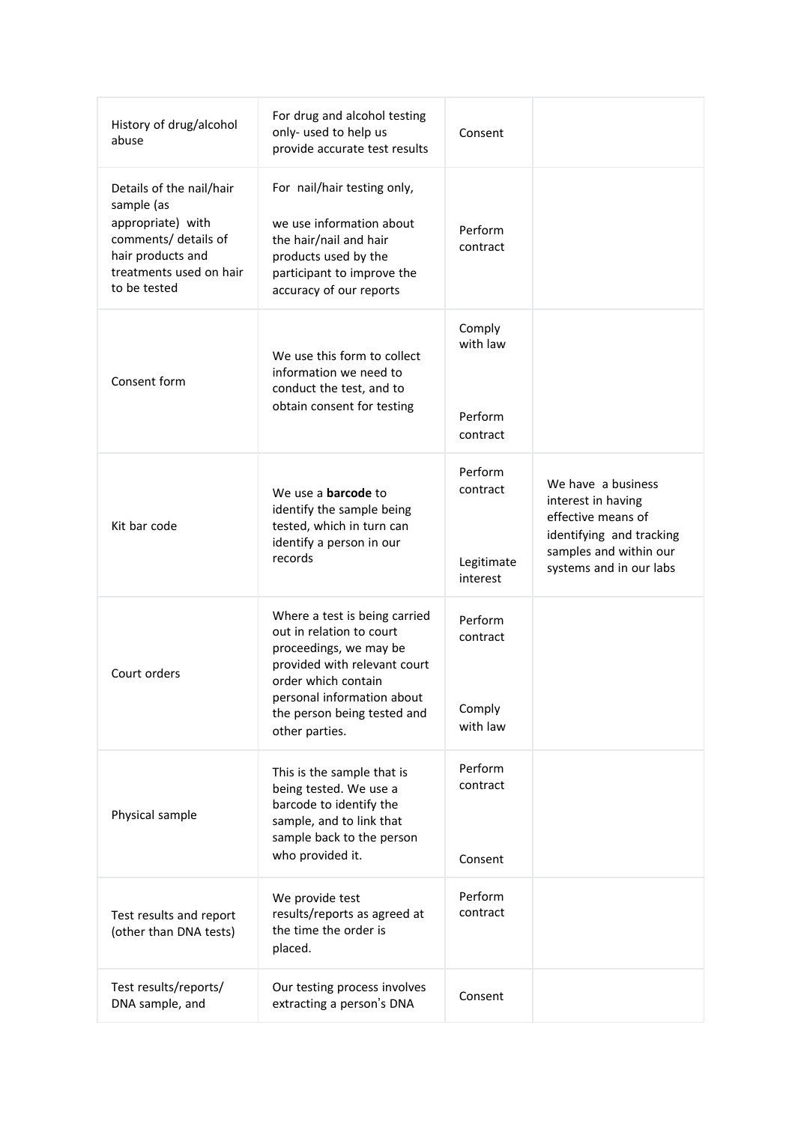| History of drug/alcohol<br>abuse                                                                                                                    | For drug and alcohol testing<br>only- used to help us<br>provide accurate test results                                                                                                                                    | Consent                                       |                                                                                                                                                 |
|-----------------------------------------------------------------------------------------------------------------------------------------------------|---------------------------------------------------------------------------------------------------------------------------------------------------------------------------------------------------------------------------|-----------------------------------------------|-------------------------------------------------------------------------------------------------------------------------------------------------|
| Details of the nail/hair<br>sample (as<br>appropriate) with<br>comments/ details of<br>hair products and<br>treatments used on hair<br>to be tested | For nail/hair testing only,<br>we use information about<br>the hair/nail and hair<br>products used by the<br>participant to improve the<br>accuracy of our reports                                                        | Perform<br>contract                           |                                                                                                                                                 |
| Consent form                                                                                                                                        | We use this form to collect<br>information we need to<br>conduct the test, and to<br>obtain consent for testing                                                                                                           | Comply<br>with law<br>Perform<br>contract     |                                                                                                                                                 |
| Kit bar code                                                                                                                                        | We use a <b>barcode</b> to<br>identify the sample being<br>tested, which in turn can<br>identify a person in our<br>records                                                                                               | Perform<br>contract<br>Legitimate<br>interest | We have a business<br>interest in having<br>effective means of<br>identifying and tracking<br>samples and within our<br>systems and in our labs |
| Court orders                                                                                                                                        | Where a test is being carried<br>out in relation to court<br>proceedings, we may be<br>provided with relevant court<br>order which contain<br>personal information about<br>the person being tested and<br>other parties. | Perform<br>contract<br>Comply<br>with law     |                                                                                                                                                 |
| Physical sample                                                                                                                                     | This is the sample that is<br>being tested. We use a<br>barcode to identify the<br>sample, and to link that<br>sample back to the person<br>who provided it.                                                              | Perform<br>contract<br>Consent                |                                                                                                                                                 |
| Test results and report<br>(other than DNA tests)                                                                                                   | We provide test<br>results/reports as agreed at<br>the time the order is<br>placed.                                                                                                                                       | Perform<br>contract                           |                                                                                                                                                 |
| Test results/reports/<br>DNA sample, and                                                                                                            | Our testing process involves<br>extracting a person's DNA                                                                                                                                                                 | Consent                                       |                                                                                                                                                 |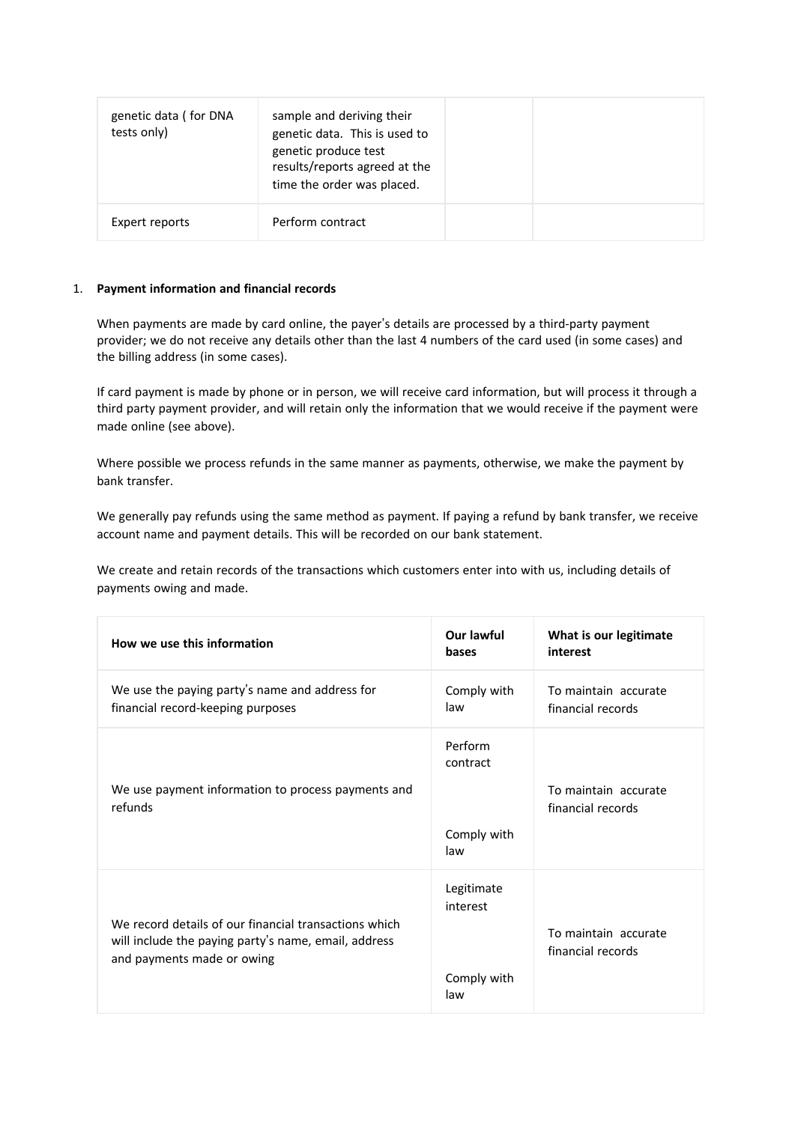| genetic data (for DNA<br>tests only) | sample and deriving their<br>genetic data. This is used to<br>genetic produce test<br>results/reports agreed at the<br>time the order was placed. |  |
|--------------------------------------|---------------------------------------------------------------------------------------------------------------------------------------------------|--|
| Expert reports                       | Perform contract                                                                                                                                  |  |

## 1. **Payment information and financial records**

When payments are made by card online, the payer's details are processed by a third-party payment provider; we do not receive any details other than the last 4 numbers of the card used (in some cases) and the billing address (in some cases).

If card payment is made by phone or in person, we will receive card information, but will process it through a third party payment provider, and will retain only the information that we would receive if the payment were made online (see above).

Where possible we process refunds in the same manner as payments, otherwise, we make the payment by bank transfer.

We generally pay refunds using the same method as payment. If paying a refund by bank transfer, we receive account name and payment details. This will be recorded on our bank statement.

We create and retain records of the transactions which customers enter into with us, including details of payments owing and made.

| How we use this information                                                                                                                 | Our lawful<br>bases                          | What is our legitimate<br>interest        |
|---------------------------------------------------------------------------------------------------------------------------------------------|----------------------------------------------|-------------------------------------------|
| We use the paying party's name and address for<br>financial record-keeping purposes                                                         | Comply with<br>law                           | To maintain accurate<br>financial records |
| We use payment information to process payments and<br>refunds                                                                               | Perform<br>contract<br>Comply with<br>law    | To maintain accurate<br>financial records |
| We record details of our financial transactions which<br>will include the paying party's name, email, address<br>and payments made or owing | Legitimate<br>interest<br>Comply with<br>law | To maintain accurate<br>financial records |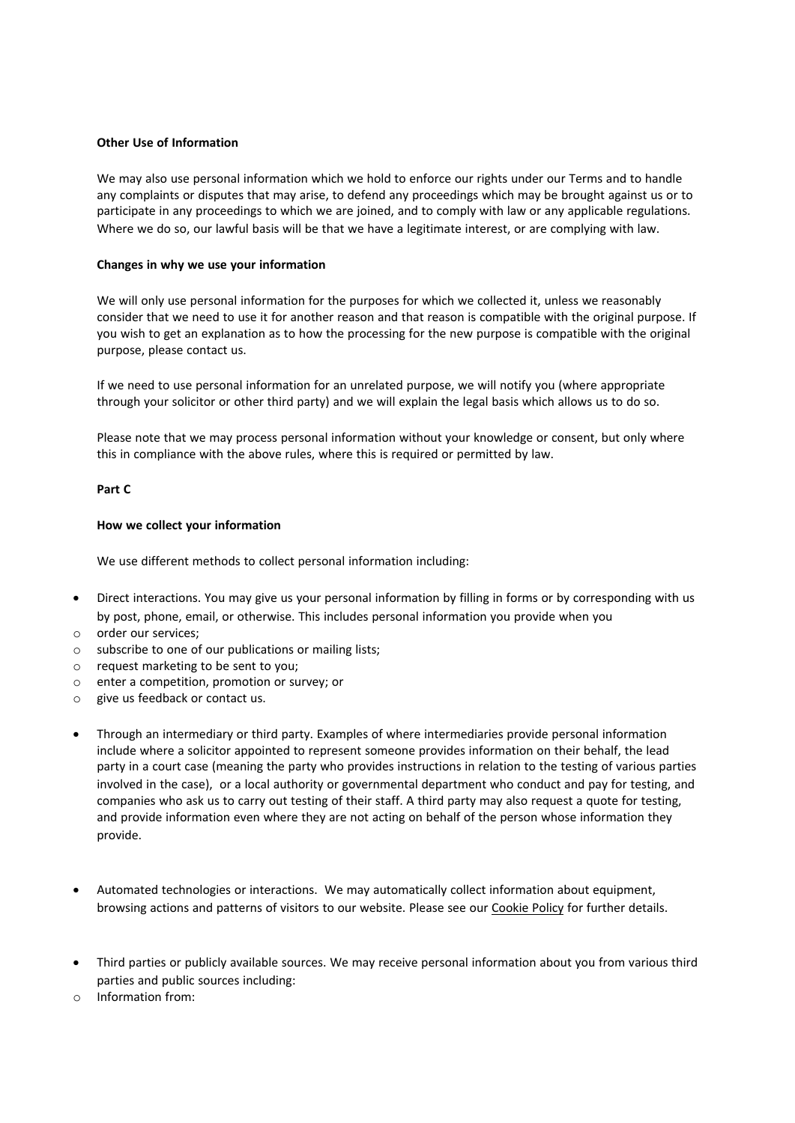### **Other Use of Information**

We may also use personal information which we hold to enforce our rights under our Terms and to handle any complaints or disputes that may arise, to defend any proceedings which may be brought against us or to participate in any proceedings to which we are joined, and to comply with law or any applicable regulations. Where we do so, our lawful basis will be that we have a legitimate interest, or are complying with law.

### **Changes in why we use your information**

We will only use personal information for the purposes for which we collected it, unless we reasonably consider that we need to use it for another reason and that reason is compatible with the original purpose. If you wish to get an explanation as to how the processing for the new purpose is compatible with the original purpose, please contact us.

If we need to use personal information for an unrelated purpose, we will notify you (where appropriate through your solicitor or other third party) and we will explain the legal basis which allows us to do so.

Please note that we may process personal information without your knowledge or consent, but only where this in compliance with the above rules, where this is required or permitted by law.

## **Part C**

### **How we collect your information**

We use different methods to collect personal information including:

- Direct interactions. You may give us your personal information by filling in forms or by corresponding with us by post, phone, email, or otherwise. This includes personal information you provide when you
- o order our services;
- o subscribe to one of our publications or mailing lists;
- o request marketing to be sent to you;
- o enter a competition, promotion or survey; or
- o give us feedback or contact us.
- Through an intermediary or third party. Examples of where intermediaries provide personal information include where a solicitor appointed to represent someone provides information on their behalf, the lead party in a court case (meaning the party who provides instructions in relation to the testing of various parties involved in the case), or a local authority or governmental department who conduct and pay for testing, and companies who ask us to carry out testing of their staff. A third party may also request a quote for testing, and provide information even where they are not acting on behalf of the person whose information they provide.
- Automated technologies or interactions. We may automatically collect information about equipment, browsing actions and patterns of visitors to our website. Please see our Cookie Policy for further details.
- Third parties or publicly available sources. We may receive personal information about you from various third parties and public sources including:
- o Information from: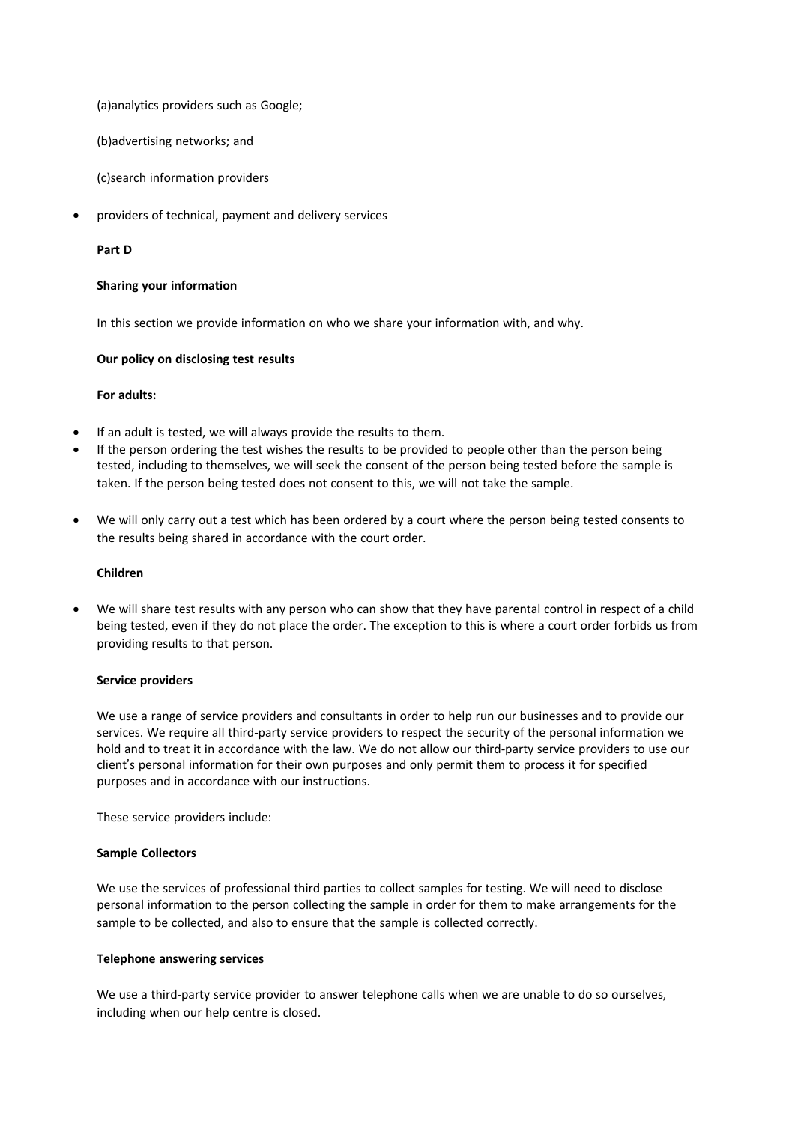(a)analytics providers such as Google;

(b)advertising networks; and

(c)search information providers

• providers of technical, payment and delivery services

### **Part D**

### **Sharing your information**

In this section we provide information on who we share your information with, and why.

### **Our policy on disclosing test results**

## **For adults:**

- If an adult is tested, we will always provide the results to them.
- If the person ordering the test wishes the results to be provided to people other than the person being tested, including to themselves, we will seek the consent of the person being tested before the sample is taken. If the person being tested does not consent to this, we will not take the sample.
- We will only carry out a test which has been ordered by a court where the person being tested consents to the results being shared in accordance with the court order.

## **Children**

• We will share test results with any person who can show that they have parental control in respect of a child being tested, even if they do not place the order. The exception to this is where a court order forbids us from providing results to that person.

#### **Service providers**

We use a range of service providers and consultants in order to help run our businesses and to provide our services. We require all third-party service providers to respect the security of the personal information we hold and to treat it in accordance with the law. We do not allow our third-party service providers to use our client's personal information for their own purposes and only permit them to process it for specified purposes and in accordance with our instructions.

These service providers include:

#### **Sample Collectors**

We use the services of professional third parties to collect samples for testing. We will need to disclose personal information to the person collecting the sample in order for them to make arrangements for the sample to be collected, and also to ensure that the sample is collected correctly.

## **Telephone answering services**

We use a third-party service provider to answer telephone calls when we are unable to do so ourselves, including when our help centre is closed.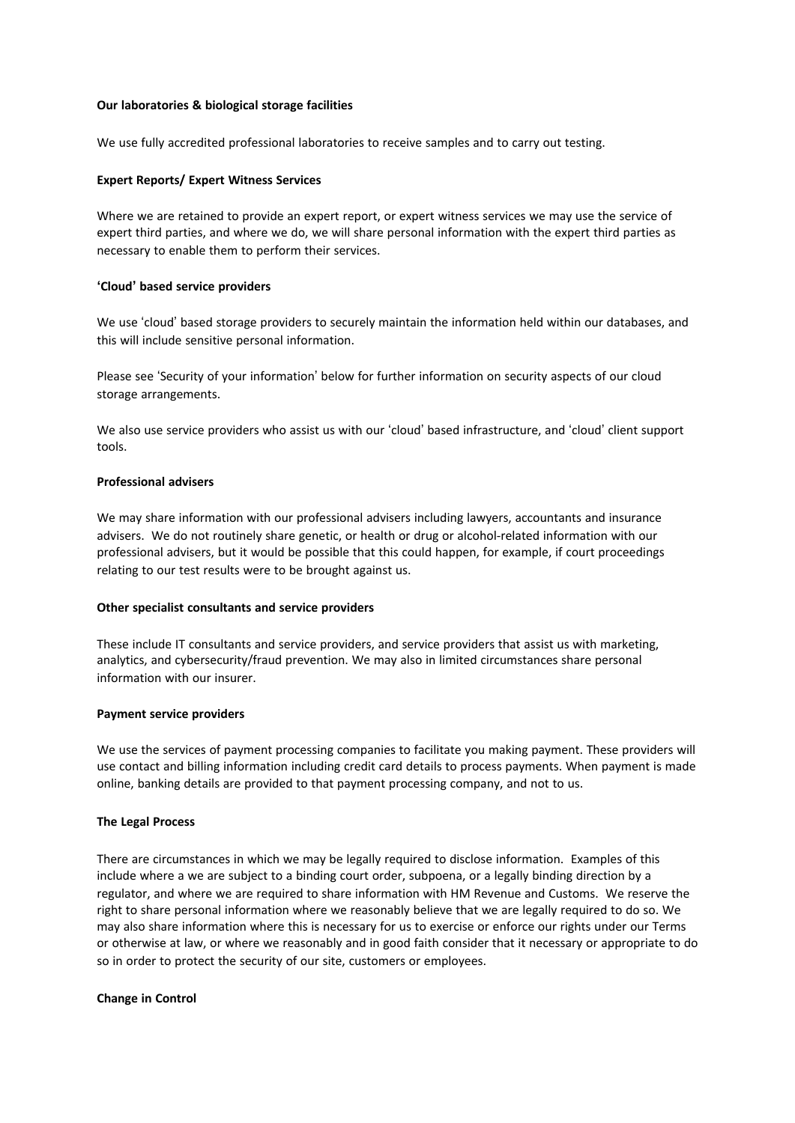### **Our laboratories & biological storage facilities**

We use fully accredited professional laboratories to receive samples and to carry out testing.

### **Expert Reports/ Expert Witness Services**

Where we are retained to provide an expert report, or expert witness services we may use the service of expert third parties, and where we do, we will share personal information with the expert third parties as necessary to enable them to perform their services.

#### **'Cloud' based service providers**

We use 'cloud' based storage providers to securely maintain the information held within our databases, and this will include sensitive personal information.

Please see 'Security of your information' below for further information on security aspects of our cloud storage arrangements.

We also use service providers who assist us with our 'cloud' based infrastructure, and 'cloud' client support tools.

#### **Professional advisers**

We may share information with our professional advisers including lawyers, accountants and insurance advisers. We do not routinely share genetic, or health or drug or alcohol-related information with our professional advisers, but it would be possible that this could happen, for example, if court proceedings relating to our test results were to be brought against us.

#### **Other specialist consultants and service providers**

These include IT consultants and service providers, and service providers that assist us with marketing, analytics, and cybersecurity/fraud prevention. We may also in limited circumstances share personal information with our insurer.

#### **Payment service providers**

We use the services of payment processing companies to facilitate you making payment. These providers will use contact and billing information including credit card details to process payments. When payment is made online, banking details are provided to that payment processing company, and not to us.

## **The Legal Process**

There are circumstances in which we may be legally required to disclose information. Examples of this include where a we are subject to a binding court order, subpoena, or a legally binding direction by a regulator, and where we are required to share information with HM Revenue and Customs. We reserve the right to share personal information where we reasonably believe that we are legally required to do so. We may also share information where this is necessary for us to exercise or enforce our rights under our Terms or otherwise at law, or where we reasonably and in good faith consider that it necessary or appropriate to do so in order to protect the security of our site, customers or employees.

#### **Change in Control**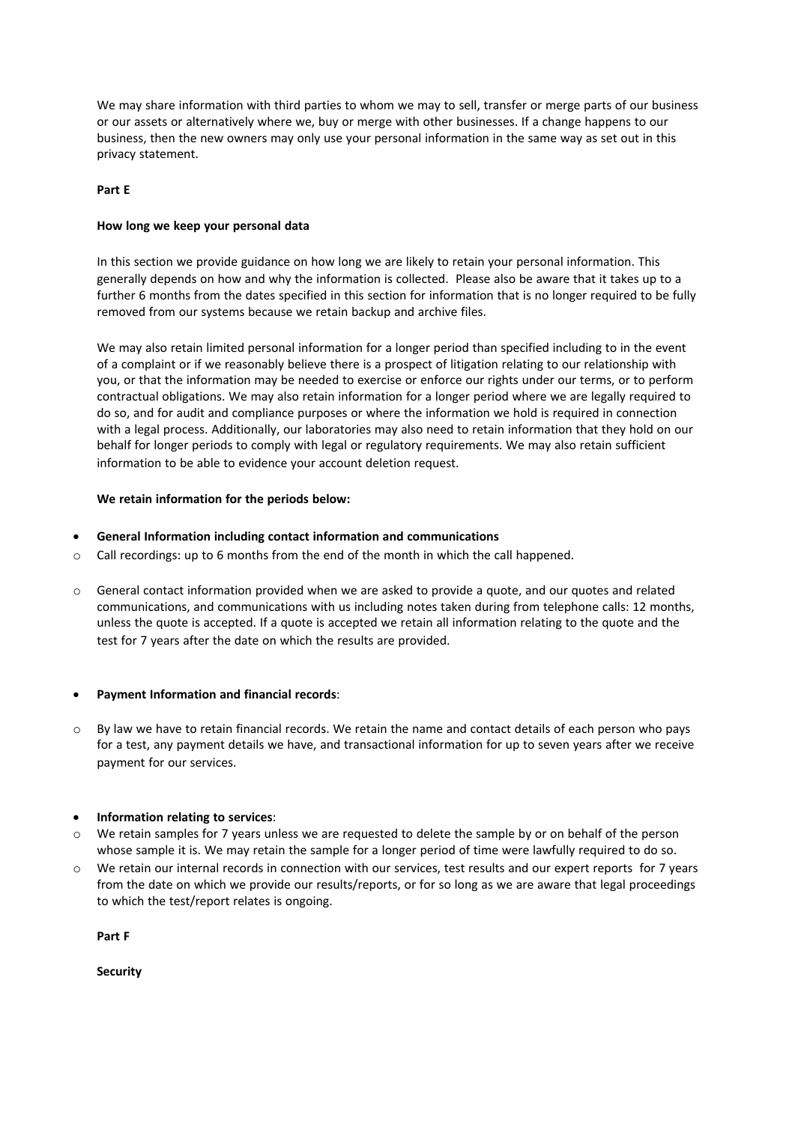We may share information with third parties to whom we may to sell, transfer or merge parts of our business or our assets or alternatively where we, buy or merge with other businesses. If a change happens to our business, then the new owners may only use your personal information in the same way as set out in this privacy statement.

## **Part E**

## **How long we keep your personal data**

In this section we provide guidance on how long we are likely to retain your personal information. This generally depends on how and why the information is collected. Please also be aware that it takes up to a further 6 months from the dates specified in this section for information that is no longer required to be fully removed from our systems because we retain backup and archive files.

We may also retain limited personal information for a longer period than specified including to in the event of a complaint or if we reasonably believe there is a prospect of litigation relating to our relationship with you, or that the information may be needed to exercise or enforce our rights under our terms, or to perform contractual obligations. We may also retain information for a longer period where we are legally required to do so, and for audit and compliance purposes or where the information we hold is required in connection with a legal process. Additionally, our laboratories may also need to retain information that they hold on our behalf for longer periods to comply with legal or regulatory requirements. We may also retain sufficient information to be able to evidence your account deletion request.

## **We retain information for the periods below:**

## • **General Information including contact information and communications**

- $\circ$  Call recordings: up to 6 months from the end of the month in which the call happened.
- o General contact information provided when we are asked to provide a quote, and our quotes and related communications, and communications with us including notes taken during from telephone calls: 12 months, unless the quote is accepted. If a quote is accepted we retain all information relating to the quote and the test for 7 years after the date on which the results are provided.

## • **Payment Information and financial records**:

By law we have to retain financial records. We retain the name and contact details of each person who pays for a test, any payment details we have, and transactional information for up to seven years after we receive payment for our services.

## • **Information relating to services**:

- o We retain samples for 7 years unless we are requested to delete the sample by or on behalf of the person whose sample it is. We may retain the sample for a longer period of time were lawfully required to do so.
- o We retain our internal records in connection with our services, test results and our expert reports for 7 years from the date on which we provide our results/reports, or for so long as we are aware that legal proceedings to which the test/report relates is ongoing.

**Part F**

**Security**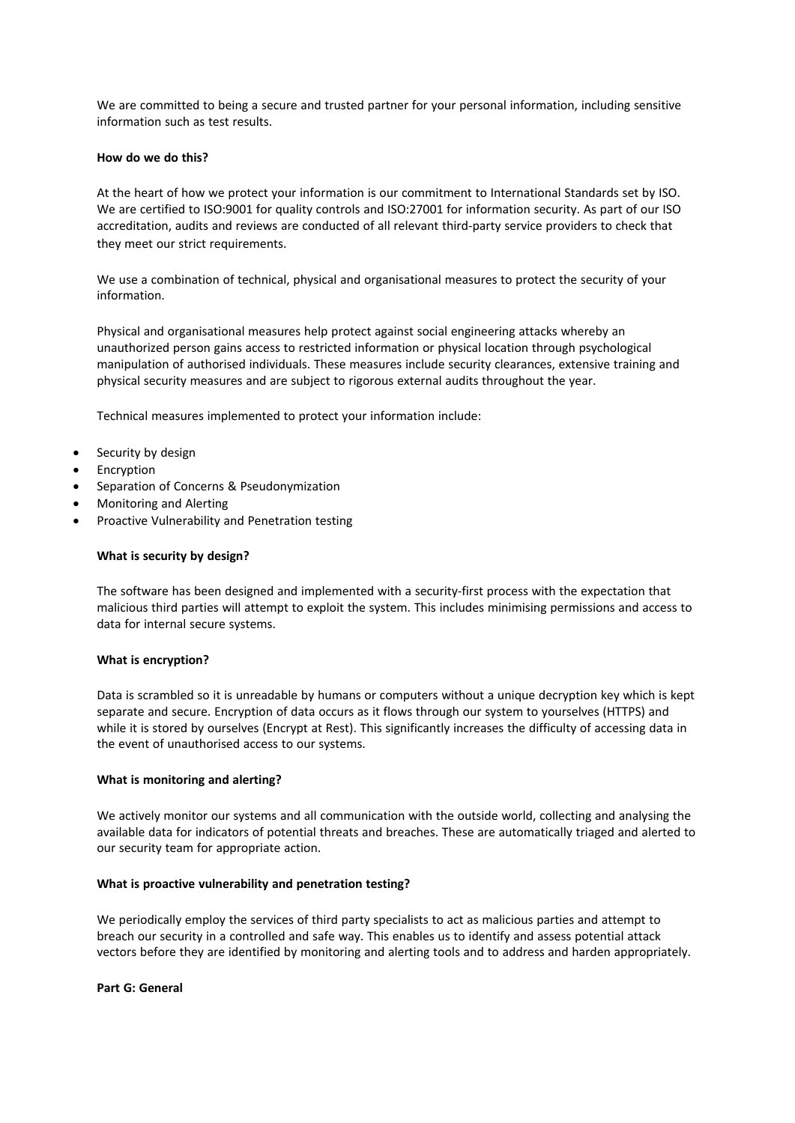We are committed to being a secure and trusted partner for your personal information, including sensitive information such as test results.

### **How do we do this?**

At the heart of how we protect your information is our commitment to International Standards set by ISO. We are certified to ISO:9001 for quality controls and ISO:27001 for information security. As part of our ISO accreditation, audits and reviews are conducted of all relevant third-party service providers to check that they meet our strict requirements.

We use a combination of technical, physical and organisational measures to protect the security of your information.

Physical and organisational measures help protect against social engineering attacks whereby an unauthorized person gains access to restricted information or physical location through psychological manipulation of authorised individuals. These measures include security clearances, extensive training and physical security measures and are subject to rigorous external audits throughout the year.

Technical measures implemented to protect your information include:

- Security by design
- **Encryption**
- Separation of Concerns & Pseudonymization
- Monitoring and Alerting
- Proactive Vulnerability and Penetration testing

#### **What is security by design?**

The software has been designed and implemented with a security-first process with the expectation that malicious third parties will attempt to exploit the system. This includes minimising permissions and access to data for internal secure systems.

#### **What is encryption?**

Data is scrambled so it is unreadable by humans or computers without a unique decryption key which is kept separate and secure. Encryption of data occurs as it flows through our system to yourselves (HTTPS) and while it is stored by ourselves (Encrypt at Rest). This significantly increases the difficulty of accessing data in the event of unauthorised access to our systems.

#### **What is monitoring and alerting?**

We actively monitor our systems and all communication with the outside world, collecting and analysing the available data for indicators of potential threats and breaches. These are automatically triaged and alerted to our security team for appropriate action.

## **What is proactive vulnerability and penetration testing?**

We periodically employ the services of third party specialists to act as malicious parties and attempt to breach our security in a controlled and safe way. This enables us to identify and assess potential attack vectors before they are identified by monitoring and alerting tools and to address and harden appropriately.

#### **Part G: General**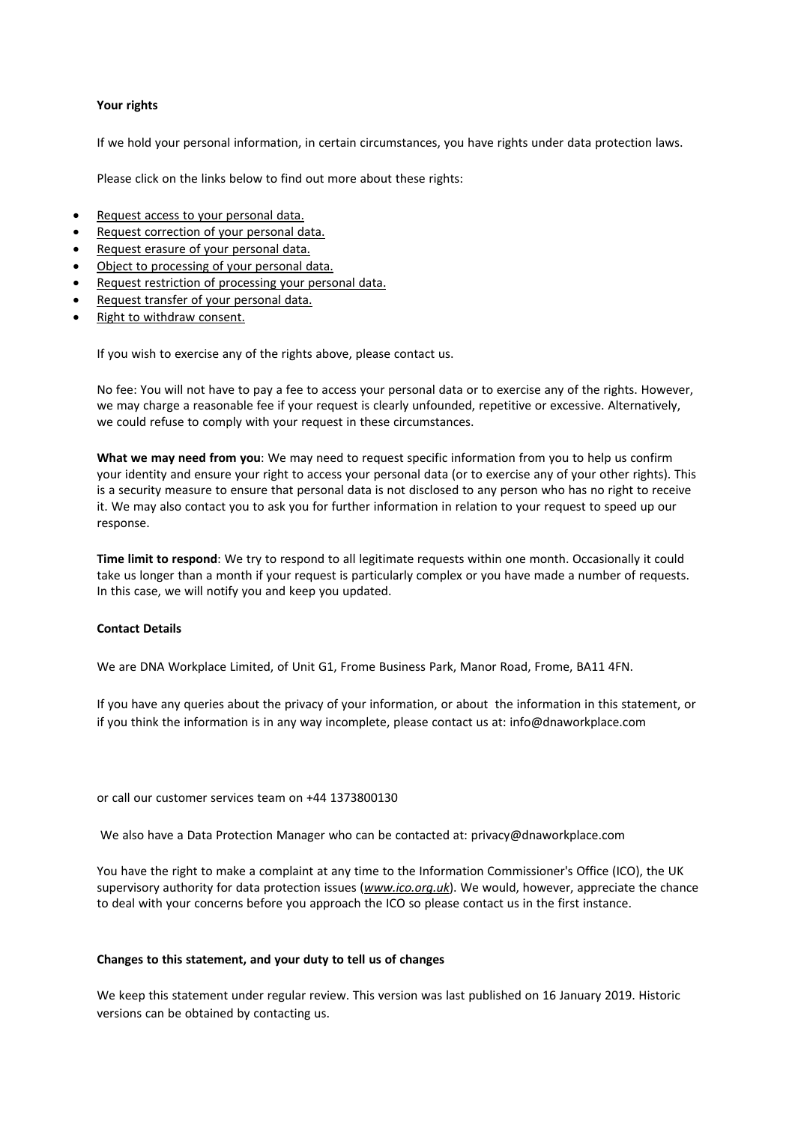## **Your rights**

If we hold your personal information, in certain circumstances, you have rights under data protection laws.

Please click on the links below to find out more about these rights:

- Request access to your personal data.
- Request correction of your personal data.
- Request erasure of your personal data.
- Object to processing of your personal data.
- Request restriction of processing your personal data.
- Request transfer of your personal data.
- Right to withdraw consent.

If you wish to exercise any of the rights above, please contact us.

No fee: You will not have to pay a fee to access your personal data or to exercise any of the rights. However, we may charge a reasonable fee if your request is clearly unfounded, repetitive or excessive. Alternatively, we could refuse to comply with your request in these circumstances.

**What we may need from you**: We may need to request specific information from you to help us confirm your identity and ensure your right to access your personal data (or to exercise any of your other rights). This is a security measure to ensure that personal data is not disclosed to any person who has no right to receive it. We may also contact you to ask you for further information in relation to your request to speed up our response.

**Time limit to respond**: We try to respond to all legitimate requests within one month. Occasionally it could take us longer than a month if your request is particularly complex or you have made a number of requests. In this case, we will notify you and keep you updated.

#### **Contact Details**

We are DNA Workplace Limited, of Unit G1, Frome Business Park, Manor Road, Frome, BA11 4FN.

If you have any queries about the privacy of your information, or about the information in this statement, or if you think the information is in any way incomplete, please contact us at: info@dnaworkplace.com

or call our customer services team on +44 1373800130

We also have a Data Protection Manager who can be contacted at: privacy@dnaworkplace.com

You have the right to make a complaint at any time to the Information Commissioner's Office (ICO), the UK supervisory authority for data protection issues (*www.ico.org.uk*). We would, however, appreciate the chance to deal with your concerns before you approach the ICO so please contact us in the first instance.

#### **Changes to this statement, and your duty to tell us of changes**

We keep this statement under regular review. This version was last published on 16 January 2019. Historic versions can be obtained by contacting us.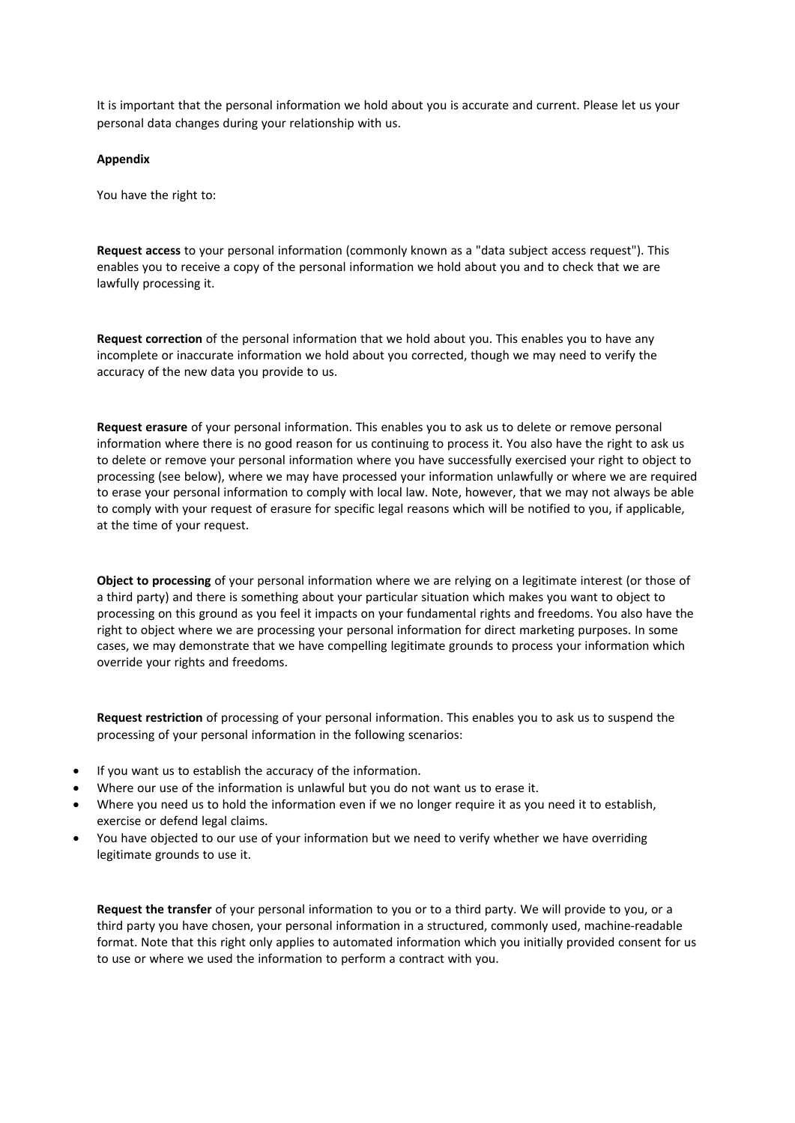It is important that the personal information we hold about you is accurate and current. Please let us your personal data changes during your relationship with us.

#### **Appendix**

You have the right to:

**Request access** to your personal information (commonly known as a "data subject access request"). This enables you to receive a copy of the personal information we hold about you and to check that we are lawfully processing it.

**Request correction** of the personal information that we hold about you. This enables you to have any incomplete or inaccurate information we hold about you corrected, though we may need to verify the accuracy of the new data you provide to us.

**Request erasure** of your personal information. This enables you to ask us to delete or remove personal information where there is no good reason for us continuing to process it. You also have the right to ask us to delete or remove your personal information where you have successfully exercised your right to object to processing (see below), where we may have processed your information unlawfully or where we are required to erase your personal information to comply with local law. Note, however, that we may not always be able to comply with your request of erasure for specific legal reasons which will be notified to you, if applicable, at the time of your request.

**Object to processing** of your personal information where we are relying on a legitimate interest (or those of a third party) and there is something about your particular situation which makes you want to object to processing on this ground as you feel it impacts on your fundamental rights and freedoms. You also have the right to object where we are processing your personal information for direct marketing purposes. In some cases, we may demonstrate that we have compelling legitimate grounds to process your information which override your rights and freedoms.

**Request restriction** of processing of your personal information. This enables you to ask us to suspend the processing of your personal information in the following scenarios:

- If you want us to establish the accuracy of the information.
- Where our use of the information is unlawful but you do not want us to erase it.
- Where you need us to hold the information even if we no longer require it as you need it to establish, exercise or defend legal claims.
- You have objected to our use of your information but we need to verify whether we have overriding legitimate grounds to use it.

**Request the transfer** of your personal information to you or to a third party. We will provide to you, or a third party you have chosen, your personal information in a structured, commonly used, machine-readable format. Note that this right only applies to automated information which you initially provided consent for us to use or where we used the information to perform a contract with you.